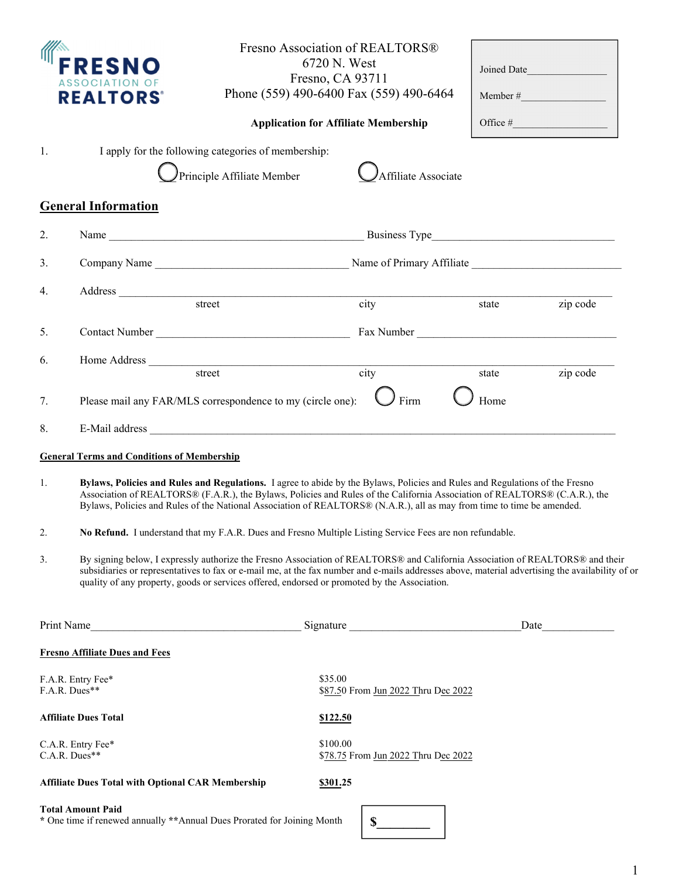|                             | <b>REALTORS®</b>                                                                                                                                                                                                                                                                                                                                                                                                                          |                                                                                                                                                                                                                                                                                                                                                                                  | Fresno Association of REALTORS®<br>6720 N. West<br>Fresno, CA 93711<br>Phone (559) 490-6400 Fax (559) 490-6464<br><b>Application for Affiliate Membership</b> |               | Joined Date<br>Member # |  |
|-----------------------------|-------------------------------------------------------------------------------------------------------------------------------------------------------------------------------------------------------------------------------------------------------------------------------------------------------------------------------------------------------------------------------------------------------------------------------------------|----------------------------------------------------------------------------------------------------------------------------------------------------------------------------------------------------------------------------------------------------------------------------------------------------------------------------------------------------------------------------------|---------------------------------------------------------------------------------------------------------------------------------------------------------------|---------------|-------------------------|--|
| 1.                          |                                                                                                                                                                                                                                                                                                                                                                                                                                           | I apply for the following categories of membership:<br>Principle Affiliate Member                                                                                                                                                                                                                                                                                                | Affiliate Associate                                                                                                                                           |               |                         |  |
|                             | <b>General Information</b>                                                                                                                                                                                                                                                                                                                                                                                                                |                                                                                                                                                                                                                                                                                                                                                                                  |                                                                                                                                                               |               |                         |  |
| 2.                          |                                                                                                                                                                                                                                                                                                                                                                                                                                           | Name                                                                                                                                                                                                                                                                                                                                                                             |                                                                                                                                                               |               |                         |  |
| 3.                          |                                                                                                                                                                                                                                                                                                                                                                                                                                           |                                                                                                                                                                                                                                                                                                                                                                                  |                                                                                                                                                               |               |                         |  |
| 4.                          |                                                                                                                                                                                                                                                                                                                                                                                                                                           |                                                                                                                                                                                                                                                                                                                                                                                  |                                                                                                                                                               |               |                         |  |
|                             |                                                                                                                                                                                                                                                                                                                                                                                                                                           |                                                                                                                                                                                                                                                                                                                                                                                  | $\frac{1}{\text{city}}$                                                                                                                                       | state         | zip code                |  |
| 5.                          |                                                                                                                                                                                                                                                                                                                                                                                                                                           | Contact Number                                                                                                                                                                                                                                                                                                                                                                   |                                                                                                                                                               |               |                         |  |
| 6.                          |                                                                                                                                                                                                                                                                                                                                                                                                                                           |                                                                                                                                                                                                                                                                                                                                                                                  |                                                                                                                                                               |               |                         |  |
| 7.                          |                                                                                                                                                                                                                                                                                                                                                                                                                                           | street<br>Please mail any FAR/MLS correspondence to my (circle one):                                                                                                                                                                                                                                                                                                             | $\overline{city}$<br>Firm                                                                                                                                     | state<br>Home | zip code                |  |
| 8.                          |                                                                                                                                                                                                                                                                                                                                                                                                                                           | E-Mail address                                                                                                                                                                                                                                                                                                                                                                   |                                                                                                                                                               |               |                         |  |
|                             |                                                                                                                                                                                                                                                                                                                                                                                                                                           |                                                                                                                                                                                                                                                                                                                                                                                  |                                                                                                                                                               |               |                         |  |
| 1.                          | <b>General Terms and Conditions of Membership</b><br>Bylaws, Policies and Rules and Regulations. I agree to abide by the Bylaws, Policies and Rules and Regulations of the Fresno<br>Association of REALTORS® (F.A.R.), the Bylaws, Policies and Rules of the California Association of REALTORS® (C.A.R.), the<br>Bylaws, Policies and Rules of the National Association of REALTORS® (N.A.R.), all as may from time to time be amended. |                                                                                                                                                                                                                                                                                                                                                                                  |                                                                                                                                                               |               |                         |  |
| 2.                          | No Refund. I understand that my F.A.R. Dues and Fresno Multiple Listing Service Fees are non refundable.                                                                                                                                                                                                                                                                                                                                  |                                                                                                                                                                                                                                                                                                                                                                                  |                                                                                                                                                               |               |                         |  |
| 3.                          |                                                                                                                                                                                                                                                                                                                                                                                                                                           | By signing below, I expressly authorize the Fresno Association of REALTORS® and California Association of REALTORS® and their<br>subsidiaries or representatives to fax or e-mail me, at the fax number and e-mails addresses above, material advertising the availability of or<br>quality of any property, goods or services offered, endorsed or promoted by the Association. |                                                                                                                                                               |               |                         |  |
| Print Name                  |                                                                                                                                                                                                                                                                                                                                                                                                                                           |                                                                                                                                                                                                                                                                                                                                                                                  | Signature                                                                                                                                                     | Date          |                         |  |
|                             | <b>Fresno Affiliate Dues and Fees</b>                                                                                                                                                                                                                                                                                                                                                                                                     |                                                                                                                                                                                                                                                                                                                                                                                  |                                                                                                                                                               |               |                         |  |
| F.A.R. Dues**               | F.A.R. Entry Fee*                                                                                                                                                                                                                                                                                                                                                                                                                         |                                                                                                                                                                                                                                                                                                                                                                                  | \$35.00<br>\$87.50 From Jun 2022 Thru Dec 2022                                                                                                                |               |                         |  |
| <b>Affiliate Dues Total</b> |                                                                                                                                                                                                                                                                                                                                                                                                                                           |                                                                                                                                                                                                                                                                                                                                                                                  | <u>\$122.50</u>                                                                                                                                               |               |                         |  |
|                             | C.A.R. Entry Fee*<br>C.A.R. Dues**                                                                                                                                                                                                                                                                                                                                                                                                        |                                                                                                                                                                                                                                                                                                                                                                                  | \$100.00<br>\$78.75 From Jun 2022 Thru Dec 2022                                                                                                               |               |                         |  |
|                             | <b>Affiliate Dues Total with Optional CAR Membership</b>                                                                                                                                                                                                                                                                                                                                                                                  |                                                                                                                                                                                                                                                                                                                                                                                  | \$301.25                                                                                                                                                      |               |                         |  |
|                             | <b>Total Amount Paid</b>                                                                                                                                                                                                                                                                                                                                                                                                                  | * One time if renewed annually ** Annual Dues Prorated for Joining Month                                                                                                                                                                                                                                                                                                         | $\mathbb{S}$                                                                                                                                                  |               |                         |  |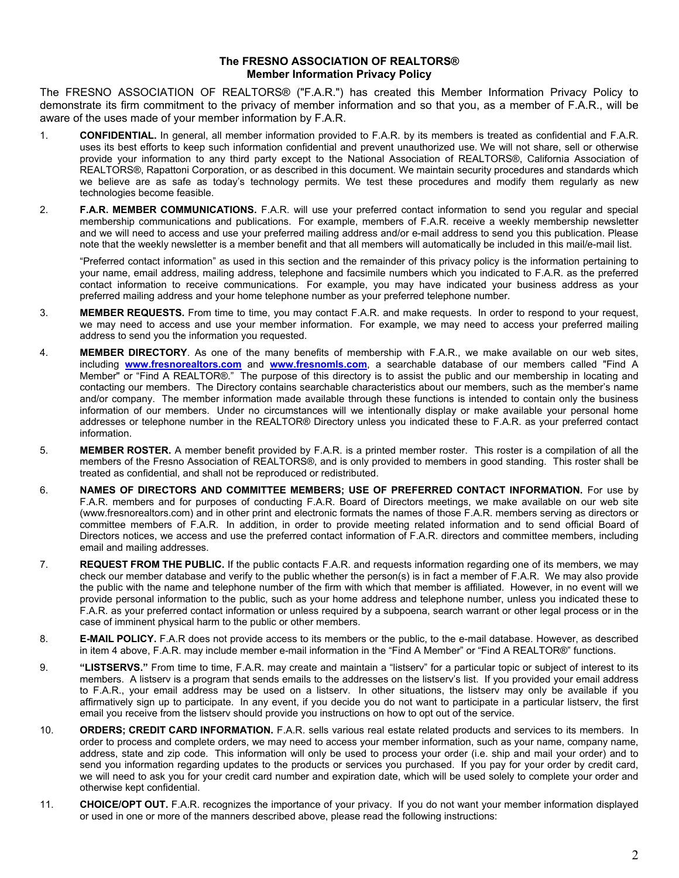## **The FRESNO ASSOCIATION OF REALTORS® Member Information Privacy Policy**

The FRESNO ASSOCIATION OF REALTORS® ("F.A.R.") has created this Member Information Privacy Policy to demonstrate its firm commitment to the privacy of member information and so that you, as a member of F.A.R., will be aware of the uses made of your member information by F.A.R.

- 1. **CONFIDENTIAL.** In general, all member information provided to F.A.R. by its members is treated as confidential and F.A.R. uses its best efforts to keep such information confidential and prevent unauthorized use. We will not share, sell or otherwise provide your information to any third party except to the National Association of REALTORS®, California Association of REALTORS®, Rapattoni Corporation, or as described in this document. We maintain security procedures and standards which we believe are as safe as today's technology permits. We test these procedures and modify them regularly as new technologies become feasible.
- 2. **F.A.R. MEMBER COMMUNICATIONS.** F.A.R. will use your preferred contact information to send you regular and special membership communications and publications. For example, members of F.A.R. receive a weekly membership newsletter and we will need to access and use your preferred mailing address and/or e-mail address to send you this publication. Please note that the weekly newsletter is a member benefit and that all members will automatically be included in this mail/e-mail list.

"Preferred contact information" as used in this section and the remainder of this privacy policy is the information pertaining to your name, email address, mailing address, telephone and facsimile numbers which you indicated to F.A.R. as the preferred contact information to receive communications. For example, you may have indicated your business address as your preferred mailing address and your home telephone number as your preferred telephone number.

- 3. **MEMBER REQUESTS.** From time to time, you may contact F.A.R. and make requests. In order to respond to your request, we may need to access and use your member information. For example, we may need to access your preferred mailing address to send you the information you requested.
- 4. **MEMBER DIRECTORY**. As one of the many benefits of membership with F.A.R., we make available on our web sites, including **www.fresnorealtors.com** and **www.fresnomls.com**, a searchable database of our members called "Find A Member" or "Find A REALTOR®." The purpose of this directory is to assist the public and our membership in locating and contacting our members. The Directory contains searchable characteristics about our members, such as the member's name and/or company. The member information made available through these functions is intended to contain only the business information of our members. Under no circumstances will we intentionally display or make available your personal home addresses or telephone number in the REALTOR® Directory unless you indicated these to F.A.R. as your preferred contact information.
- 5. **MEMBER ROSTER.** A member benefit provided by F.A.R. is a printed member roster. This roster is a compilation of all the members of the Fresno Association of REALTORS®, and is only provided to members in good standing. This roster shall be treated as confidential, and shall not be reproduced or redistributed.
- 6. **NAMES OF DIRECTORS AND COMMITTEE MEMBERS; USE OF PREFERRED CONTACT INFORMATION.** For use by F.A.R. members and for purposes of conducting F.A.R. Board of Directors meetings, we make available on our web site (www.fresnorealtors.com) and in other print and electronic formats the names of those F.A.R. members serving as directors or committee members of F.A.R. In addition, in order to provide meeting related information and to send official Board of Directors notices, we access and use the preferred contact information of F.A.R. directors and committee members, including email and mailing addresses.
- 7. **REQUEST FROM THE PUBLIC.** If the public contacts F.A.R. and requests information regarding one of its members, we may check our member database and verify to the public whether the person(s) is in fact a member of F.A.R. We may also provide the public with the name and telephone number of the firm with which that member is affiliated. However, in no event will we provide personal information to the public, such as your home address and telephone number, unless you indicated these to F.A.R. as your preferred contact information or unless required by a subpoena, search warrant or other legal process or in the case of imminent physical harm to the public or other members.
- 8. **E-MAIL POLICY.** F.A.R does not provide access to its members or the public, to the e-mail database. However, as described in item 4 above, F.A.R. may include member e-mail information in the "Find A Member" or "Find A REALTOR®" functions.
- 9. **"LISTSERVS."** From time to time, F.A.R. may create and maintain a "listserv" for a particular topic or subject of interest to its members. A listserv is a program that sends emails to the addresses on the listserv's list. If you provided your email address to F.A.R., your email address may be used on a listserv. In other situations, the listserv may only be available if you affirmatively sign up to participate. In any event, if you decide you do not want to participate in a particular listserv, the first email you receive from the listserv should provide you instructions on how to opt out of the service.
- 10. **ORDERS; CREDIT CARD INFORMATION.** F.A.R. sells various real estate related products and services to its members. In order to process and complete orders, we may need to access your member information, such as your name, company name, address, state and zip code. This information will only be used to process your order (i.e. ship and mail your order) and to send you information regarding updates to the products or services you purchased. If you pay for your order by credit card, we will need to ask you for your credit card number and expiration date, which will be used solely to complete your order and otherwise kept confidential.
- 11. **CHOICE/OPT OUT.** F.A.R. recognizes the importance of your privacy. If you do not want your member information displayed or used in one or more of the manners described above, please read the following instructions: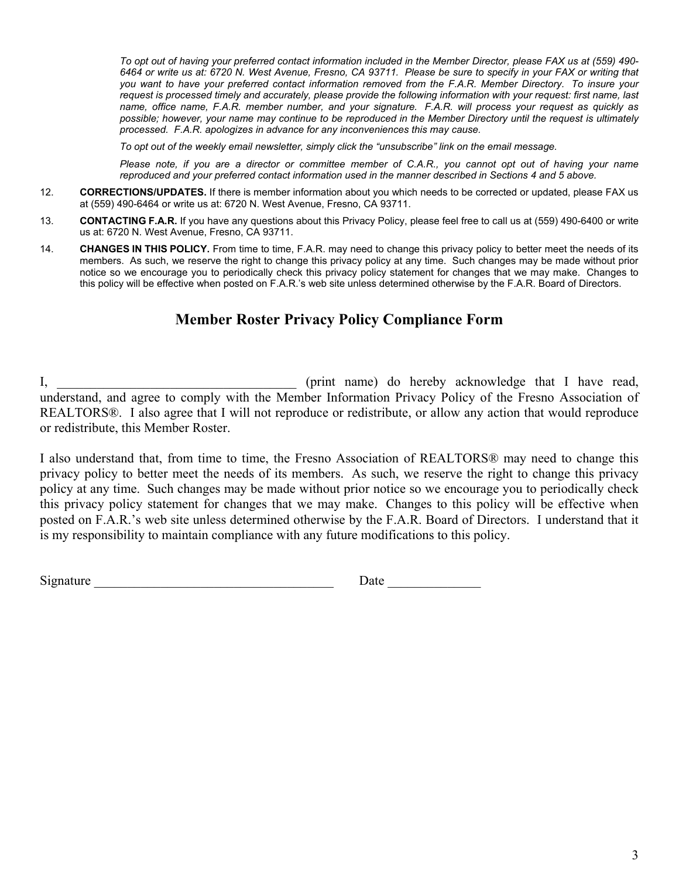*To opt out of having your preferred contact information included in the Member Director, please FAX us at (559) 490- 6464 or write us at: 6720 N. West Avenue, Fresno, CA 93711. Please be sure to specify in your FAX or writing that you want to have your preferred contact information removed from the F.A.R. Member Directory. To insure your request is processed timely and accurately, please provide the following information with your request: first name, last name, office name, F.A.R. member number, and your signature. F.A.R. will process your request as quickly as possible; however, your name may continue to be reproduced in the Member Directory until the request is ultimately processed. F.A.R. apologizes in advance for any inconveniences this may cause.*

*To opt out of the weekly email newsletter, simply click the "unsubscribe" link on the email message.*

*Please note, if you are a director or committee member of C.A.R., you cannot opt out of having your name reproduced and your preferred contact information used in the manner described in Sections 4 and 5 above.*

- 12. **CORRECTIONS/UPDATES.** If there is member information about you which needs to be corrected or updated, please FAX us at (559) 490-6464 or write us at: 6720 N. West Avenue, Fresno, CA 93711.
- 13. **CONTACTING F.A.R.** If you have any questions about this Privacy Policy, please feel free to call us at (559) 490-6400 or write us at: 6720 N. West Avenue, Fresno, CA 93711.
- 14. **CHANGES IN THIS POLICY.** From time to time, F.A.R. may need to change this privacy policy to better meet the needs of its members. As such, we reserve the right to change this privacy policy at any time. Such changes may be made without prior notice so we encourage you to periodically check this privacy policy statement for changes that we may make. Changes to this policy will be effective when posted on F.A.R.'s web site unless determined otherwise by the F.A.R. Board of Directors.

## **Member Roster Privacy Policy Compliance Form**

I, \_\_\_\_\_\_\_\_\_\_\_\_\_\_\_\_\_\_\_\_\_\_\_\_\_\_\_\_\_\_\_\_\_\_\_\_ (print name) do hereby acknowledge that I have read, understand, and agree to comply with the Member Information Privacy Policy of the Fresno Association of REALTORS®. I also agree that I will not reproduce or redistribute, or allow any action that would reproduce or redistribute, this Member Roster.

I also understand that, from time to time, the Fresno Association of REALTORS® may need to change this privacy policy to better meet the needs of its members. As such, we reserve the right to change this privacy policy at any time. Such changes may be made without prior notice so we encourage you to periodically check this privacy policy statement for changes that we may make. Changes to this policy will be effective when posted on F.A.R.'s web site unless determined otherwise by the F.A.R. Board of Directors. I understand that it is my responsibility to maintain compliance with any future modifications to this policy.

Signature Date Date Date Development of  $\overline{\phantom{a}}$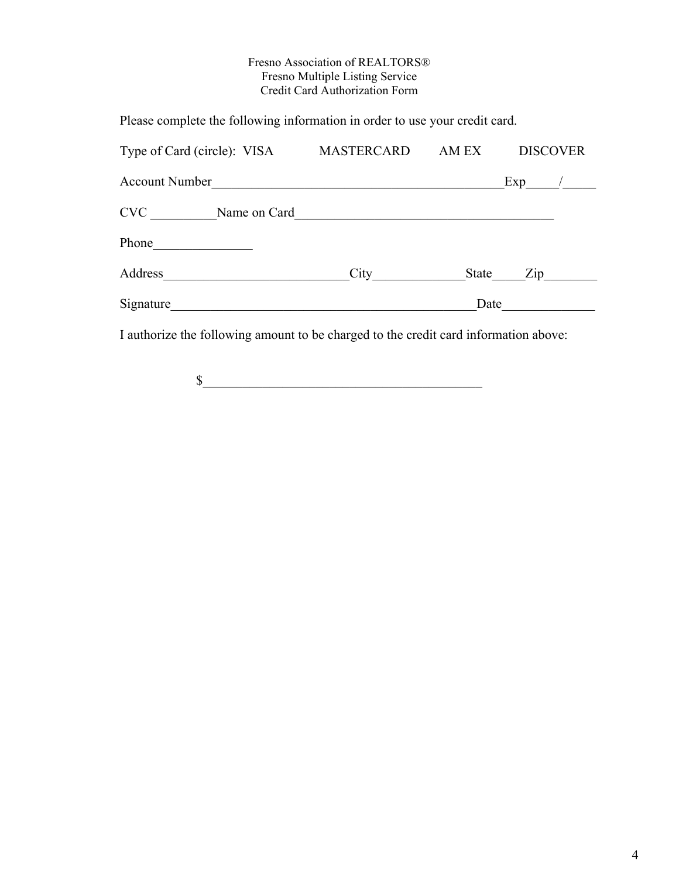## Fresno Association of REALTORS® Fresno Multiple Listing Service Credit Card Authorization Form

Please complete the following information in order to use your credit card.

| Type of Card (circle): VISA | MASTERCARD | AM EX | <b>DISCOVER</b> |
|-----------------------------|------------|-------|-----------------|
| <b>Account Number</b>       |            |       | Exp             |
| <b>CVC</b><br>Name on Card  |            |       |                 |
| Phone                       |            |       |                 |
| Address                     | City       | State | Zip             |
| Signature                   |            | Date  |                 |

I authorize the following amount to be charged to the credit card information above:

 $\sim$